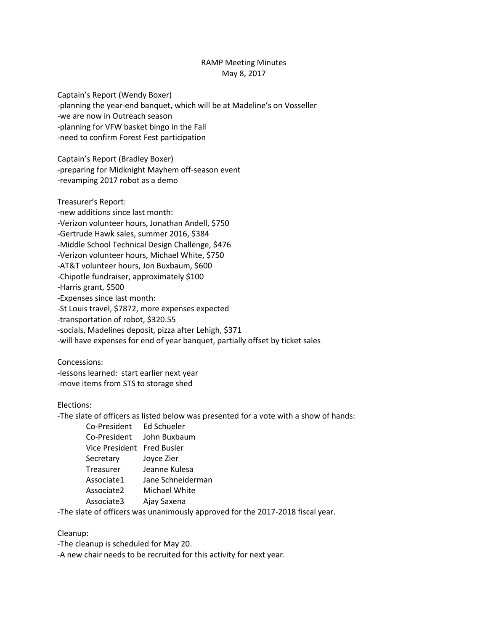## RAMP Meeting Minutes May 8, 2017

Captain's Report (Wendy Boxer) -planning the year-end banquet, which will be at Madeline's on Vosseller -we are now in Outreach season -planning for VFW basket bingo in the Fall -need to confirm Forest Fest participation

Captain's Report (Bradley Boxer) -preparing for Midknight Mayhem off-season event -revamping 2017 robot as a demo

Treasurer's Report: -new additions since last month:

-Verizon volunteer hours, Jonathan Andell, \$750

-Gertrude Hawk sales, summer 2016, \$384

-Middle School Technical Design Challenge, \$476

-Verizon volunteer hours, Michael White, \$750

-AT&T volunteer hours, Jon Buxbaum, \$600

-Chipotle fundraiser, approximately \$100

-Harris grant, \$500

-Expenses since last month:

-St Louis travel, \$7872, more expenses expected

-transportation of robot, \$320.55

-socials, Madelines deposit, pizza after Lehigh, \$371

-will have expenses for end of year banquet, partially offset by ticket sales

Concessions:

-lessons learned: start earlier next year -move items from STS to storage shed

## Elections:

-The slate of officers as listed below was presented for a vote with a show of hands:

| Co-President Ed Schueler                                                                  |                           |
|-------------------------------------------------------------------------------------------|---------------------------|
|                                                                                           | Co-President John Buxbaum |
| Vice President Fred Busler                                                                |                           |
| Secretary                                                                                 | Joyce Zier                |
| Treasurer                                                                                 | Jeanne Kulesa             |
| Associate1                                                                                | Jane Schneiderman         |
| Associate2                                                                                | Michael White             |
| Associate3                                                                                | Ajay Saxena               |
| $\mathbf{r}$ . The contract of the contract of the state of $\mathbf{r}$ and $\mathbf{r}$ |                           |

-The slate of officers was unanimously approved for the 2017-2018 fiscal year.

## Cleanup:

-The cleanup is scheduled for May 20.

-A new chair needs to be recruited for this activity for next year.